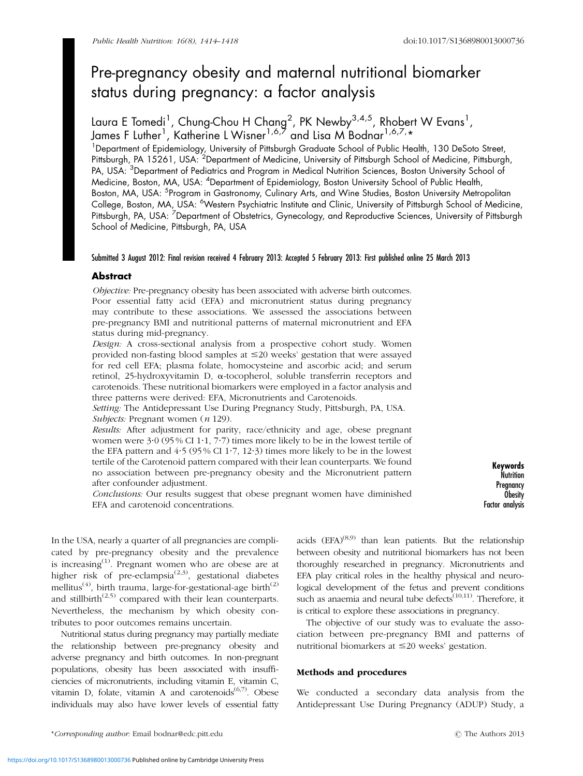# Pre-pregnancy obesity and maternal nutritional biomarker status during pregnancy: a factor analysis

Laura E Tomedi<sup>1</sup>, Chung-Chou H Chang<sup>2</sup>, PK Newby<sup>3,4,5</sup>, Rhobert W Evans<sup>1</sup>, James F Luther<sup>1</sup>, Katherine L Wisner<sup>1,6,7</sup> and Lisa M Bodnar<sup>1,6,7,</sup>\*

<sup>1</sup>Department of Epidemiology, University of Pittsburgh Graduate School of Public Health, 130 DeSoto Street, Pittsburgh, PA 15261, USA: <sup>2</sup>Department of Medicine, University of Pittsburgh School of Medicine, Pittsburgh, PA, USA: <sup>3</sup>Department of Pediatrics and Program in Medical Nutrition Sciences, Boston University School of Medicine, Boston, MA, USA: <sup>4</sup>Department of Epidemiology, Boston University School of Public Health, Boston, MA, USA: <sup>5</sup>Program in Gastronomy, Culinary Arts, and Wine Studies, Boston University Metropolitan College, Boston, MA, USA: <sup>6</sup>Western Psychiatric Institute and Clinic, University of Pittsburgh School of Medicine, Pittsburgh, PA, USA: <sup>7</sup>Department of Obstetrics, Gynecology, and Reproductive Sciences, University of Pittsburgh School of Medicine, Pittsburgh, PA, USA

## Submitted 3 August 2012: Final revision received 4 February 2013: Accepted 5 February 2013: First published online 25 March 2013

## Abstract

Objective: Pre-pregnancy obesity has been associated with adverse birth outcomes. Poor essential fatty acid (EFA) and micronutrient status during pregnancy may contribute to these associations. We assessed the associations between pre-pregnancy BMI and nutritional patterns of maternal micronutrient and EFA status during mid-pregnancy.

Design: A cross-sectional analysis from a prospective cohort study. Women provided non-fasting blood samples at  $\leq 20$  weeks' gestation that were assayed for red cell EFA; plasma folate, homocysteine and ascorbic acid; and serum retinol, 25-hydroxyvitamin D, a-tocopherol, soluble transferrin receptors and carotenoids. These nutritional biomarkers were employed in a factor analysis and three patterns were derived: EFA, Micronutrients and Carotenoids.

Setting: The Antidepressant Use During Pregnancy Study, Pittsburgh, PA, USA. Subjects: Pregnant women (*n* 129).

Results: After adjustment for parity, race/ethnicity and age, obese pregnant women were  $3.0$  (95% CI 1.1, 7.7) times more likely to be in the lowest tertile of the EFA pattern and  $4.5$  (95% CI 1.7, 12.3) times more likely to be in the lowest tertile of the Carotenoid pattern compared with their lean counterparts. We found no association between pre-pregnancy obesity and the Micronutrient pattern after confounder adjustment.

Conclusions: Our results suggest that obese pregnant women have diminished EFA and carotenoid concentrations.

Keywords **Nutrition Pregnancy Obesity** Factor analysis

In the USA, nearly a quarter of all pregnancies are complicated by pre-pregnancy obesity and the prevalence is increasing $^{(1)}$  $^{(1)}$  $^{(1)}$ . Pregnant women who are obese are at higher risk of pre-eclampsia<sup>([2,3\)](#page-4-0)</sup>, gestational diabetes mellitus<sup>([4](#page-4-0))</sup>, birth trauma, large-for-gestational-age birth<sup>([2](#page-4-0))</sup> and stillbirth<sup> $(2,5)$  $(2,5)$ </sup> compared with their lean counterparts. Nevertheless, the mechanism by which obesity contributes to poor outcomes remains uncertain.

Nutritional status during pregnancy may partially mediate the relationship between pre-pregnancy obesity and adverse pregnancy and birth outcomes. In non-pregnant populations, obesity has been associated with insufficiencies of micronutrients, including vitamin E, vitamin C, vitamin D, folate, vitamin A and carotenoids $(6,7)$ . Obese individuals may also have lower levels of essential fatty

acids  $(EFA)^{(8,9)}$  $(EFA)^{(8,9)}$  $(EFA)^{(8,9)}$  $(EFA)^{(8,9)}$  $(EFA)^{(8,9)}$  than lean patients. But the relationship between obesity and nutritional biomarkers has not been thoroughly researched in pregnancy. Micronutrients and EFA play critical roles in the healthy physical and neurological development of the fetus and prevent conditions such as anaemia and neural tube defects<sup> $(10,11)$  $(10,11)$ </sup>. Therefore, it is critical to explore these associations in pregnancy.

The objective of our study was to evaluate the association between pre-pregnancy BMI and patterns of nutritional biomarkers at  $\leq$ 20 weeks' gestation.

## Methods and procedures

We conducted a secondary data analysis from the Antidepressant Use During Pregnancy (ADUP) Study, a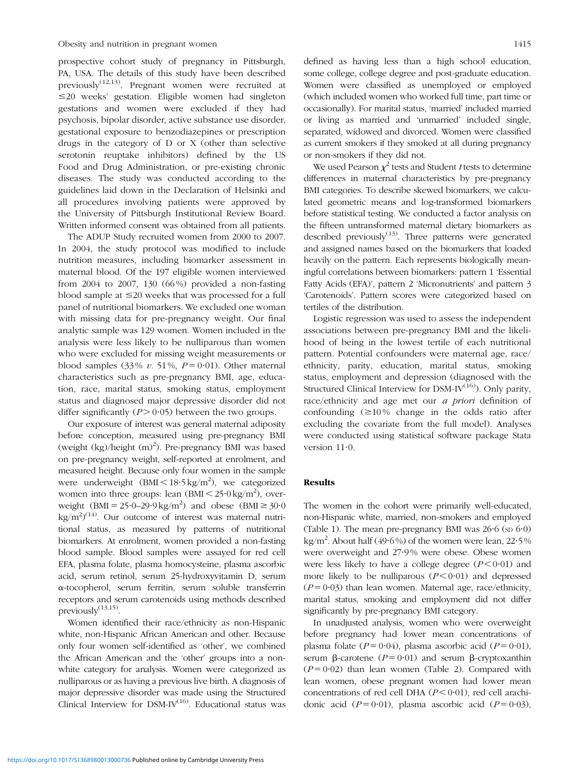prospective cohort study of pregnancy in Pittsburgh, PA, USA. The details of this study have been described previously<sup> $(12,13)$  $(12,13)$ </sup>. Pregnant women were recruited at  $\leq$ 20 weeks' gestation. Eligible women had singleton gestations and women were excluded if they had psychosis, bipolar disorder, active substance use disorder, gestational exposure to benzodiazepines or prescription drugs in the category of D or X (other than selective serotonin reuptake inhibitors) defined by the US Food and Drug Administration, or pre-existing chronic diseases. The study was conducted according to the guidelines laid down in the Declaration of Helsinki and all procedures involving patients were approved by the University of Pittsburgh Institutional Review Board. Written informed consent was obtained from all patients.

The ADUP Study recruited women from 2000 to 2007. In 2004, the study protocol was modified to include nutrition measures, including biomarker assessment in maternal blood. Of the 197 eligible women interviewed from 2004 to 2007, 130 (66 %) provided a non-fasting blood sample at  $\leq 20$  weeks that was processed for a full panel of nutritional biomarkers. We excluded one woman with missing data for pre-pregnancy weight. Our final analytic sample was 129 women. Women included in the analysis were less likely to be nulliparous than women who were excluded for missing weight measurements or blood samples (33%  $v$ . 51%,  $P = 0.01$ ). Other maternal characteristics such as pre-pregnancy BMI, age, education, race, marital status, smoking status, employment status and diagnosed major depressive disorder did not differ significantly  $(P > 0.05)$  between the two groups.

Our exposure of interest was general maternal adiposity before conception, measured using pre-pregnancy BMI (weight (kg)/height (m)<sup>2</sup>). Pre-pregnancy BMI was based on pre-pregnancy weight, self-reported at enrolment, and measured height. Because only four women in the sample were underweight  $(BMI < 18.5 \text{ kg/m}^2)$ , we categorized women into three groups: lean  $(BMI < 25.0 \text{ kg/m}^2)$ , overweight  $(BMI = 25.0-29.9 \text{ kg/m}^2)$  and obese  $(BMI \ge 30.0$  $\text{kg/m}^2$ <sup>([14](#page-4-0))</sup>. Our outcome of interest was maternal nutritional status, as measured by patterns of nutritional biomarkers. At enrolment, women provided a non-fasting blood sample. Blood samples were assayed for red cell EFA, plasma folate, plasma homocysteine, plasma ascorbic acid, serum retinol, serum 25-hydroxyvitamin D, serum a-tocopherol, serum ferritin, serum soluble transferrin receptors and serum carotenoids using methods described previously<sup>([13,15](#page-4-0))</sup>.

Women identified their race/ethnicity as non-Hispanic white, non-Hispanic African American and other. Because only four women self-identified as 'other', we combined the African American and the 'other' groups into a nonwhite category for analysis. Women were categorized as nulliparous or as having a previous live birth. A diagnosis of major depressive disorder was made using the Structured Clinical Interview for  $DSM-IV^{(16)}$  $DSM-IV^{(16)}$  $DSM-IV^{(16)}$ . Educational status was defined as having less than a high school education, some college, college degree and post-graduate education. Women were classified as unemployed or employed (which included women who worked full time, part time or occasionally). For marital status, 'married' included married or living as married and 'unmarried' included single, separated, widowed and divorced. Women were classified as current smokers if they smoked at all during pregnancy or non-smokers if they did not.

We used Pearson  $\chi^2$  tests and Student *t* tests to determine differences in maternal characteristics by pre-pregnancy BMI categories. To describe skewed biomarkers, we calculated geometric means and log-transformed biomarkers before statistical testing. We conducted a factor analysis on the fifteen untransformed maternal dietary biomarkers as described previously $^{(13)}$  $^{(13)}$  $^{(13)}$ . Three patterns were generated and assigned names based on the biomarkers that loaded heavily on the pattern. Each represents biologically meaningful correlations between biomarkers: pattern 1 'Essential Fatty Acids (EFA)', pattern 2 'Micronutrients' and pattern 3 'Carotenoids'. Pattern scores were categorized based on tertiles of the distribution.

Logistic regression was used to assess the independent associations between pre-pregnancy BMI and the likelihood of being in the lowest tertile of each nutritional pattern. Potential confounders were maternal age, race/ ethnicity, parity, education, marital status, smoking status, employment and depression (diagnosed with the Structured Clinical Interview for DSM-IV $(16)$  $(16)$ ). Only parity, race/ethnicity and age met our a priori definition of confounding  $( \geq 10\%$  change in the odds ratio after excluding the covariate from the full model). Analyses were conducted using statistical software package Stata version  $11·0$ .

#### Results

The women in the cohort were primarily well-educated, non-Hispanic white, married, non-smokers and employed ([Table 1](#page-2-0)). The mean pre-pregnancy BMI was  $26.6$  (sp  $6.0$ ) kg/m<sup>2</sup>. About half (49.6%) of the women were lean, 22.5% were overweight and 27?9% were obese. Obese women were less likely to have a college degree  $(P < 0.01)$  and more likely to be nulliparous  $(P < 0.01)$  and depressed  $(P = 0.03)$  than lean women. Maternal age, race/ethnicity, marital status, smoking and employment did not differ significantly by pre-pregnancy BMI category.

In unadjusted analysis, women who were overweight before pregnancy had lower mean concentrations of plasma folate ( $P = 0.04$ ), plasma ascorbic acid ( $P = 0.01$ ), serum  $\beta$ -carotene ( $P = 0.01$ ) and serum  $\beta$ -cryptoxanthin  $(P = 0.02)$  than lean women [\(Table 2](#page-2-0)). Compared with lean women, obese pregnant women had lower mean concentrations of red cell DHA ( $P < 0.01$ ), red cell arachidonic acid  $(P = 0.01)$ , plasma ascorbic acid  $(P = 0.03)$ ,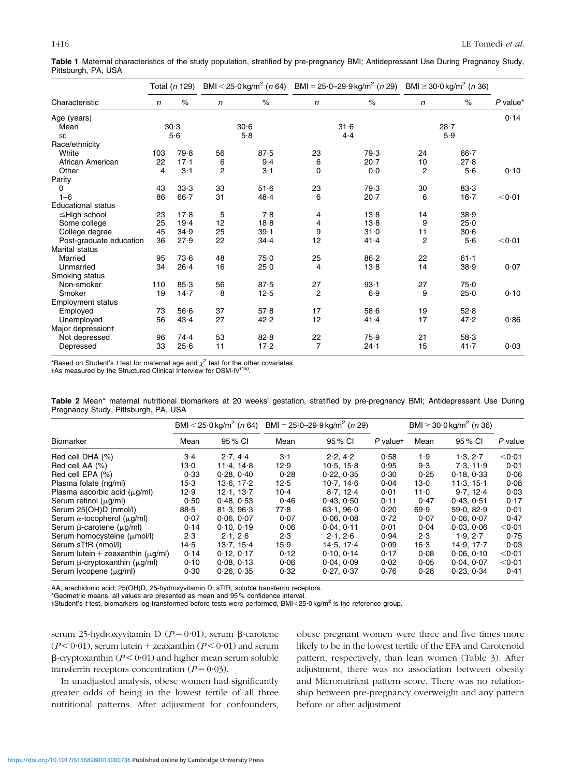| Characteristic            | Total (n 129) |          | BMI < 25.0 kg/m <sup>2</sup> (n 64) |       | BMI = $25.0 - 29.9$ kg/m <sup>2</sup> (n 29) |          | BMI ≥ 30 $\cdot$ 0 kg/m <sup>2</sup> ( <i>n</i> 36) |          |                  |
|---------------------------|---------------|----------|-------------------------------------|-------|----------------------------------------------|----------|-----------------------------------------------------|----------|------------------|
|                           | $\mathsf{n}$  | $\%$     | n                                   | $\%$  | n                                            | $\%$     | n                                                   | $\%$     | $P$ value*       |
| Age (years)               |               |          |                                     |       |                                              |          |                                                     |          | 0.14             |
| Mean                      |               | 30.3     |                                     | 30.6  |                                              | 31.6     |                                                     | $28 - 7$ |                  |
| SD                        | 5.6           |          | 5.8                                 |       | 4.4                                          |          | 5.9                                                 |          |                  |
| Race/ethnicity            |               |          |                                     |       |                                              |          |                                                     |          |                  |
| White                     | 103           | 79.8     | 56                                  | 87.5  | 23                                           | 79.3     | 24                                                  | $66 - 7$ |                  |
| African American          | 22            | 17.1     | 6                                   | 9.4   | 6                                            | 20.7     | 10                                                  | 27.8     |                  |
| Other                     | 4             | $3-1$    | $\overline{2}$                      | $3-1$ | 0                                            | 0.0      | 2                                                   | 5.6      | 0.10             |
| Parity                    |               |          |                                     |       |                                              |          |                                                     |          |                  |
| 0                         | 43            | 33.3     | 33                                  | 51.6  | 23                                           | 79.3     | 30                                                  | 83.3     |                  |
| $1 - 6$                   | 86            | $66 - 7$ | 31                                  | 48.4  | 6                                            | 20.7     | 6                                                   | $16 - 7$ | < 0.01           |
| <b>Educational status</b> |               |          |                                     |       |                                              |          |                                                     |          |                  |
| $\leq$ High school        | 23            | 17.8     | 5                                   | 7.8   | 4                                            | 13.8     | 14                                                  | 38.9     |                  |
| Some college              | 25            | 19.4     | 12                                  | 18.8  | 4                                            | 13.8     | 9                                                   | 25.0     |                  |
| College degree            | 45            | 34.9     | 25                                  | 39.1  | 9                                            | $31 - 0$ | 11                                                  | 30.6     |                  |
| Post-graduate education   | 36            | 27.9     | 22                                  | 34.4  | 12                                           | 41.4     | $\overline{2}$                                      | 5.6      | $<$ 0 $\cdot$ 01 |
| Marital status            |               |          |                                     |       |                                              |          |                                                     |          |                  |
| Married                   | 95            | 73.6     | 48                                  | 75.0  | 25                                           | 86.2     | 22                                                  | $61 - 1$ |                  |
| Unmarried                 | 34            | 26.4     | 16                                  | 25.0  | 4                                            | 13.8     | 14                                                  | 38.9     | 0.07             |
| Smoking status            |               |          |                                     |       |                                              |          |                                                     |          |                  |
| Non-smoker                | 110           | 85.3     | 56                                  | 87.5  | 27                                           | 93.1     | 27                                                  | 75.0     |                  |
| Smoker                    | 19            | 14.7     | 8                                   | 12.5  | $\overline{2}$                               | 6.9      | 9                                                   | $25 - 0$ | 0.10             |
| <b>Employment status</b>  |               |          |                                     |       |                                              |          |                                                     |          |                  |
| Employed                  | 73            | 56.6     | 37                                  | 57.8  | 17                                           | 58.6     | 19                                                  | 52.8     |                  |
| Unemployed                | 56            | 43.4     | 27                                  | 42.2  | 12                                           | 41.4     | 17                                                  | 47.2     | 0.86             |
| Major depressiont         |               |          |                                     |       |                                              |          |                                                     |          |                  |
| Not depressed             | 96            | 74.4     | 53                                  | 82.8  | 22                                           | 75.9     | 21                                                  | 58.3     |                  |
| Depressed                 | 33            | 25.6     | 11                                  | 17.2  | $\overline{7}$                               | $24 - 1$ | 15                                                  | 41.7     | 0.03             |

<span id="page-2-0"></span>Table 1 Maternal characteristics of the study population, stratified by pre-pregnancy BMI; Antidepressant Use During Pregnancy Study, Pittsburgh, PA, USA

\*Based on Student's *t* test for maternal age and  $\chi^2$  test for the other covariates.<br>+As measured by the Structured Clinical Interview for DSM-IV<sup>([16\)](#page-4-0)</sup>.

Table 2 Mean\* maternal nutritional biomarkers at 20 weeks' gestation, stratified by pre-pregnancy BMI; Antidepressant Use During Pregnancy Study, Pittsburgh, PA, USA

|                                            | BMI $<$ 25 $\cdot$ 0 kg/m <sup>2</sup> (n 64) |            | BMI = $25.0 - 29.9$ kg/m <sup>2</sup> (n 29) |           |          | BMI $\geq$ 30.0 kg/m <sup>2</sup> ( <i>n</i> 36) |            |           |
|--------------------------------------------|-----------------------------------------------|------------|----------------------------------------------|-----------|----------|--------------------------------------------------|------------|-----------|
| <b>Biomarker</b>                           | Mean                                          | 95 % CI    | Mean                                         | 95 % CI   | P valuet | Mean                                             | 95 % CI    | $P$ value |
| Red cell DHA (%)                           | 3.4                                           | 2.7, 4.4   | 3·1                                          | 2.2.42    | 0.58     | 1.9                                              | 1.3, 2.7   | $<$ 0.01  |
| Red cell AA (%)                            | 13∙0                                          | 11.4, 14.8 | 12.9                                         | 10.5.15.8 | 0.95     | 9.3                                              | 7.3.11.9   | 0.01      |
| Red cell EPA (%)                           | 0.33                                          | 0.28.0.40  | 0.28                                         | 0.22.0.35 | 0.30     | 0.25                                             | 0.18.033   | 0.06      |
| Plasma folate (ng/ml)                      | 15.3                                          | 13.6.17.2  | 12.5                                         | 10.7.146  | 0.04     | 13.0                                             | 11.3.15.1  | 0.08      |
| Plasma ascorbic acid $(\mu q/ml)$          | 12.9                                          | 12.1.13.7  | $10-4$                                       | 8.7.12.4  | 0.01     | 11.0                                             | 9.7.124    | 0.03      |
| Serum retinol $(\mu q/ml)$                 | 0.50                                          | 0.48.0.53  | 0.46                                         | 0.43.0.50 | 0.11     | 0.47                                             | 0.43.0.51  | 0.17      |
| Serum 25(OH)D (nmol/l)                     | 88.5                                          | 81.3.96.3  | 77.8                                         | 63.1.960  | 0.20     | 69.9                                             | 59.0.82.9  | 0.01      |
| Serum $\alpha$ -tocopherol ( $\mu$ g/ml)   | 0.07                                          | 0.06.007   | 0.07                                         | 0.06.008  | 0.72     | 0.07                                             | 0.06.007   | 0.47      |
| Serum $\beta$ -carotene ( $\mu$ g/ml)      | 0.14                                          | 0.10.0.19  | 0.06                                         | 0.04.0.11 | 0.01     | 0.04                                             | 0.03.006   | $<$ 0.01  |
| Serum homocysteine $(\mu \text{mol/l})$    | 2.3                                           | 2.1.26     | 2.3                                          | 2.1.26    | 0.94     | 2.3                                              | 1.9.2.7    | 0.75      |
| Serum sTfR (nmol/l)                        | 14.5                                          | 13.7.15.4  | 15.9                                         | 14.5.17.4 | 0.09     | $16-3$                                           | 14.9.17.7  | 0.03      |
| Serum lutein + zeaxanthin $(\mu q/ml)$     | 0.14                                          | 0.12, 0.17 | 0.12                                         | 0.10.014  | 0.17     | 0.08                                             | 0.06, 0.10 | $<$ 0.01  |
| Serum $\beta$ -cryptoxanthin ( $\mu$ g/ml) | 0.10                                          | 0.08, 0.13 | 0.06                                         | 0.04.009  | 0.02     | 0.05                                             | 0.04.007   | < 0.01    |
| Serum lycopene $(\mu g/ml)$                | 0.30                                          | 0.26, 0.35 | 0.32                                         | 0.27.0.37 | 0.76     | 0.28                                             | 0.23, 0.34 | 0.41      |

AA, arachidonic acid; 25(OH)D, 25-hydroxyvitamin D; sTfR, soluble transferrin receptors.

\*Geometric means, all values are presented as mean and 95 % confidence interval.

+Student's t test, biomarkers log-transformed before tests were performed, BMI<25.0 kg/m<sup>2</sup> is the reference group.

serum 25-hydroxyvitamin D ( $P = 0.01$ ), serum  $\beta$ -carotene  $(P < 0.01)$ , serum lutein + zeaxanthin  $(P < 0.01)$  and serum  $\beta$ -cryptoxanthin ( $P < 0.01$ ) and higher mean serum soluble transferrin receptors concentration ( $P = 0.03$ ).

In unadjusted analysis, obese women had significantly greater odds of being in the lowest tertile of all three nutritional patterns. After adjustment for confounders,

obese pregnant women were three and five times more likely to be in the lowest tertile of the EFA and Carotenoid pattern, respectively, than lean women ([Table 3](#page-3-0)). After adjustment, there was no association between obesity and Micronutrient pattern score. There was no relationship between pre-pregnancy overweight and any pattern before or after adjustment.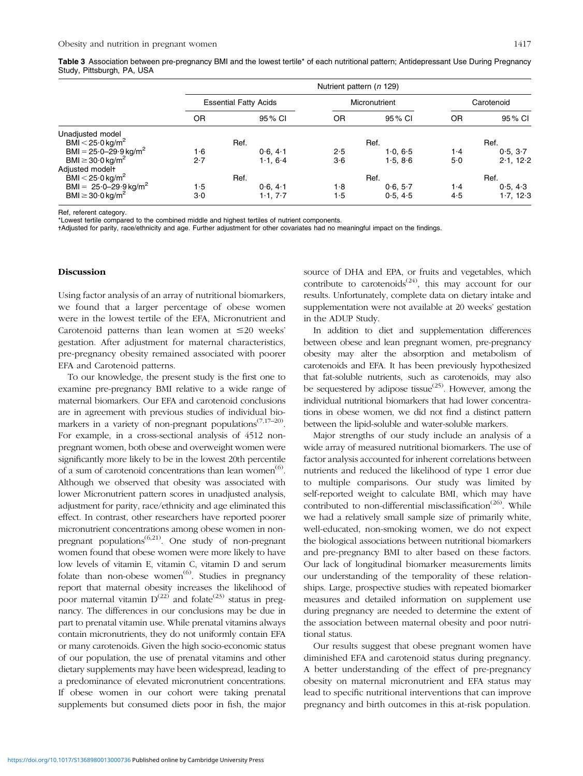<span id="page-3-0"></span>

| Table 3 Association between pre-pregnancy BMI and the lowest tertile* of each nutritional pattern; Antidepressant Use During Pregnancy |  |
|----------------------------------------------------------------------------------------------------------------------------------------|--|
| Study, Pittsburgh, PA, USA                                                                                                             |  |

|                                                           |       | Nutrient pattern (n 129)     |               |          |            |           |  |  |
|-----------------------------------------------------------|-------|------------------------------|---------------|----------|------------|-----------|--|--|
|                                                           |       | <b>Essential Fatty Acids</b> | Micronutrient |          | Carotenoid |           |  |  |
|                                                           | ΟR    | 95 % CI                      | OR            | 95% CI   | OR         | 95 % CI   |  |  |
| Unadjusted model                                          |       |                              |               |          |            |           |  |  |
| BMI $<$ 25 $\cdot$ 0 kg/m <sup>2</sup>                    |       | Ref.                         |               | Ref.     |            | Ref.      |  |  |
| BMI = $25.0 - 29.9$ kg/m <sup>2</sup>                     | 1.6   | 0.6.41                       | 2.5           | 1.0, 6.5 | $1-4$      | 0.5, 3.7  |  |  |
| BMI $\geq$ 30.0 kg/m <sup>2</sup>                         | 2.7   | 1.1.64                       | 3·6           | 1.5.86   | 5.0        | 2.1, 12.2 |  |  |
| Adjusted modelt<br>BMI $<$ 25 $\cdot$ 0 kg/m <sup>2</sup> |       | Ref.                         |               | Ref.     |            | Ref.      |  |  |
| BMI = $25.0 - 29.9$ kg/m <sup>2</sup>                     | 1.5   | 0.6.41                       | 1.8           | 0.6, 5.7 | $1-4$      | 0.5, 4.3  |  |  |
| BMI $\geq$ 30.0 kg/m <sup>2</sup>                         | $3-0$ | 1.1.77                       | 1.5           | 0.5, 4.5 | 4.5        | 1.7, 12.3 |  |  |

Ref, referent category.

\*Lowest tertile compared to the combined middle and highest tertiles of nutrient components.

-Adjusted for parity, race/ethnicity and age. Further adjustment for other covariates had no meaningful impact on the findings.

## Discussion

Using factor analysis of an array of nutritional biomarkers, we found that a larger percentage of obese women were in the lowest tertile of the EFA, Micronutrient and Carotenoid patterns than lean women at  $\leq 20$  weeks' gestation. After adjustment for maternal characteristics, pre-pregnancy obesity remained associated with poorer EFA and Carotenoid patterns.

To our knowledge, the present study is the first one to examine pre-pregnancy BMI relative to a wide range of maternal biomarkers. Our EFA and carotenoid conclusions are in agreement with previous studies of individual biomarkers in a variety of non-pregnant populations<sup> $(7,17-20)$ </sup>. For example, in a cross-sectional analysis of 4512 nonpregnant women, both obese and overweight women were significantly more likely to be in the lowest 20th percentile of a sum of carotenoid concentrations than lean women<sup>([6](#page-4-0))</sup>. Although we observed that obesity was associated with lower Micronutrient pattern scores in unadjusted analysis, adjustment for parity, race/ethnicity and age eliminated this effect. In contrast, other researchers have reported poorer micronutrient concentrations among obese women in nonpregnant populations<sup> $(6,21)$  $(6,21)$ </sup>. One study of non-pregnant women found that obese women were more likely to have low levels of vitamin E, vitamin C, vitamin D and serum folate than non-obese women $^{(6)}$  $^{(6)}$  $^{(6)}$ . Studies in pregnancy report that maternal obesity increases the likelihood of poor maternal vitamin  $D^{(22)}$  $D^{(22)}$  $D^{(22)}$  and folate<sup>[\(23\)](#page-4-0)</sup> status in pregnancy. The differences in our conclusions may be due in part to prenatal vitamin use. While prenatal vitamins always contain micronutrients, they do not uniformly contain EFA or many carotenoids. Given the high socio-economic status of our population, the use of prenatal vitamins and other dietary supplements may have been widespread, leading to a predominance of elevated micronutrient concentrations. If obese women in our cohort were taking prenatal supplements but consumed diets poor in fish, the major

source of DHA and EPA, or fruits and vegetables, which contribute to carotenoids<sup> $(24)$  $(24)$ </sup>, this may account for our results. Unfortunately, complete data on dietary intake and supplementation were not available at 20 weeks' gestation in the ADUP Study.

In addition to diet and supplementation differences between obese and lean pregnant women, pre-pregnancy obesity may alter the absorption and metabolism of carotenoids and EFA. It has been previously hypothesized that fat-soluble nutrients, such as carotenoids, may also be sequestered by adipose tissue $^{(25)}$  $^{(25)}$  $^{(25)}$ . However, among the individual nutritional biomarkers that had lower concentrations in obese women, we did not find a distinct pattern between the lipid-soluble and water-soluble markers.

Major strengths of our study include an analysis of a wide array of measured nutritional biomarkers. The use of factor analysis accounted for inherent correlations between nutrients and reduced the likelihood of type 1 error due to multiple comparisons. Our study was limited by self-reported weight to calculate BMI, which may have contributed to non-differential misclassification<sup> $(26)$  $(26)$ </sup>. While we had a relatively small sample size of primarily white, well-educated, non-smoking women, we do not expect the biological associations between nutritional biomarkers and pre-pregnancy BMI to alter based on these factors. Our lack of longitudinal biomarker measurements limits our understanding of the temporality of these relationships. Large, prospective studies with repeated biomarker measures and detailed information on supplement use during pregnancy are needed to determine the extent of the association between maternal obesity and poor nutritional status.

Our results suggest that obese pregnant women have diminished EFA and carotenoid status during pregnancy. A better understanding of the effect of pre-pregnancy obesity on maternal micronutrient and EFA status may lead to specific nutritional interventions that can improve pregnancy and birth outcomes in this at-risk population.